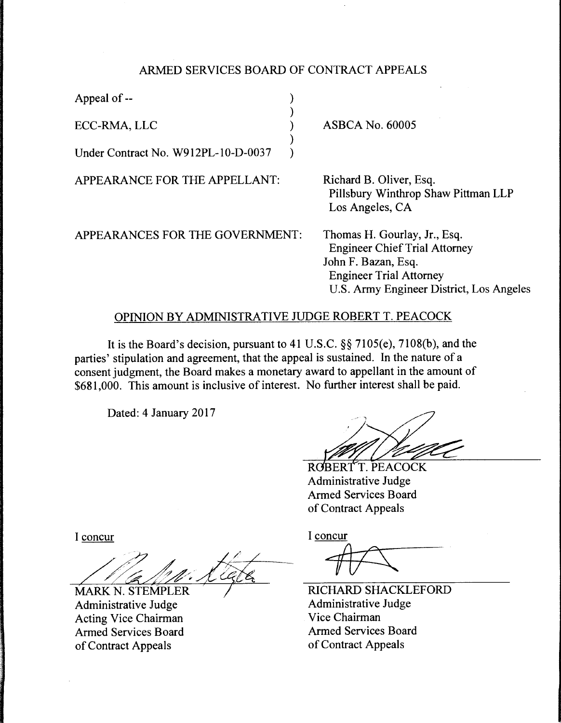## ARMED SERVICES BOARD OF CONTRACT APPEALS

)

)

Appeal of --

ECC-RMA, LLC )

Under Contract No. W912PL-10-D-0037 )

APPEARANCE FOR THE APPELLANT:

APPEARANCES FOR THE GOVERNMENT:

ASBCA No. 60005

Richard B. Oliver, Esq. Pillsbury Winthrop Shaw Pittman LLP Los Angeles, CA

Thomas H. Gourlay, Jr., Esq. Engineer Chief Trial Attorney John F. Bazan, Esq. Engineer Trial Attorney U.S. Army Engineer District, Los Angeles

## OPINION BY ADMINISTRATIVE JUDGE ROBERT T. PEACOCK

It is the Board's decision, pursuant to 41 U.S.C. §§ 7105(e), 7108(b), and the parties' stipulation and agreement, that the appeal is sustained. In the nature of a consent judgment, the Board makes a monetary award to appellant in the amount of \$681,000. This amount is inclusive of interest. No further interest shall be paid.

Dated: 4 January 2017

ROBERTT. PEACOCK Administrative Judge Armed Services Board of Contract Appeals

I concur

**MARK N. STEMPLER** Administrative Judge Acting Vice Chairman Armed Services Board of Contract Appeals

I concur

*1tr:SC* 

RICHARD SHACKLEFORD Administrative Judge Vice Chairman Armed Services Board of Contract Appeals